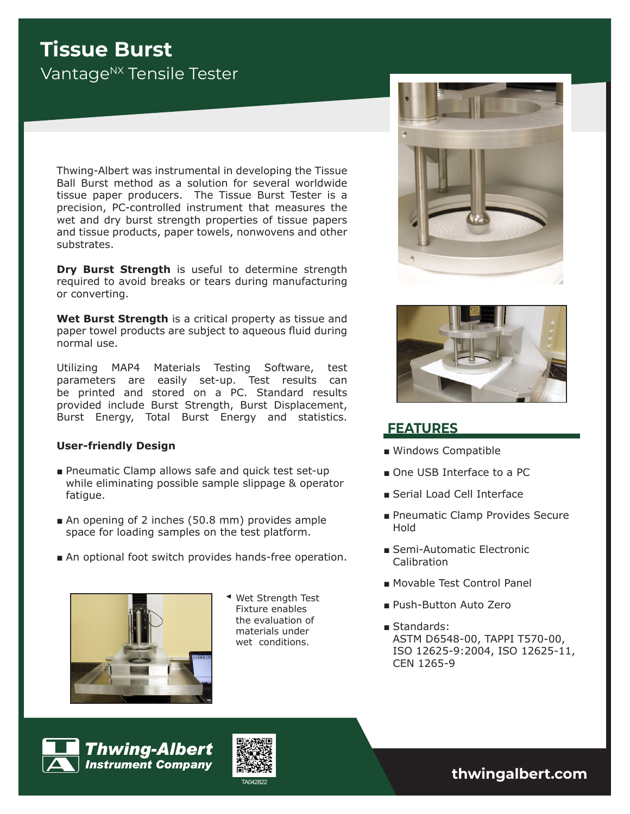# **Tissue Burst** Vantage<sup>NX</sup> Tensile Tester

Thwing-Albert was instrumental in developing the Tissue Ball Burst method as a solution for several worldwide tissue paper producers. The Tissue Burst Tester is a precision, PC-controlled instrument that measures the wet and dry burst strength properties of tissue papers and tissue products, paper towels, nonwovens and other substrates.

**Dry Burst Strength** is useful to determine strength required to avoid breaks or tears during manufacturing or converting.

**Wet Burst Strength** is a critical property as tissue and paper towel products are subject to aqueous fluid during normal use.

Utilizing MAP4 Materials Testing Software, test parameters are easily set-up. Test results can be printed and stored on a PC. Standard results provided include Burst Strength, Burst Displacement, Burst Energy, Total Burst Energy and statistics.

### **User-friendly Design**

- Pneumatic Clamp allows safe and quick test set-up while eliminating possible sample slippage & operator fatigue.
- An opening of 2 inches (50.8 mm) provides ample space for loading samples on the test platform.
- An optional foot switch provides hands-free operation.



Wet Strength Test Fixture enables the evaluation of materials under wet conditions.





# **FEATURES**

- Windows Compatible
- One USB Interface to a PC
- Serial Load Cell Interface
- Pneumatic Clamp Provides Secure Hold
- Semi-Automatic Electronic Calibration
- Movable Test Control Panel
- Push-Button Auto Zero
- Standards: ASTM D6548-00, TAPPI T570-00, ISO 12625-9:2004, ISO 12625-11, CEN 1265-9







TA042822 **thwingalbert.com**